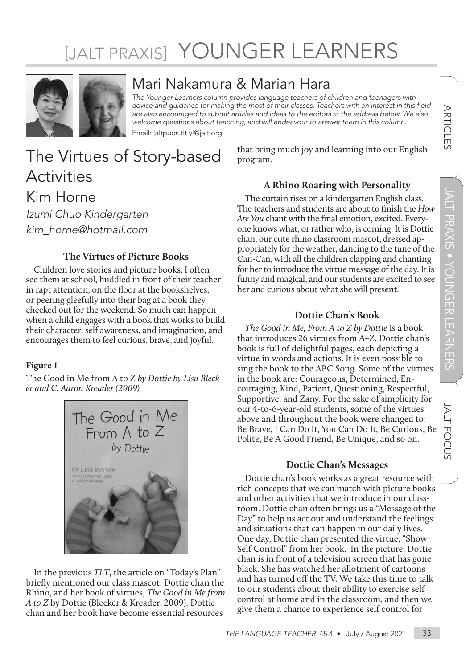# [JALT PRAXIS] YOUNGER LEARNERS



### Mari Nakamura & Marian Hara

*The Younger Learners column provides language teachers of children and teenagers with*  advice and guidance for making the most of their classes. Teachers with an interest in this field *are also encouraged to submit articles and ideas to the editors at the address below. We also welcome questions about teaching, and will endeavour to answer them in this column.* Email: jaltpubs.tlt.yl@jalt.org

The Virtues of Story-based **Activities** Kim Horne *Izumi Chuo Kindergarten kim\_horne@hotmail.com*

#### **The Virtues of Picture Books**

Children love stories and picture books. I often see them at school, huddled in front of their teacher in rapt attention, on the floor at the bookshelves, or peering gleefully into their bag at a book they checked out for the weekend. So much can happen when a child engages with a book that works to build their character, self awareness, and imagination, and encourages them to feel curious, brave, and joyful.

#### **Figure 1**

The Good in Me from A to Z *by Dottie by Lisa Blecker and C. Aaron Kreader (2009)*



In the previous *TLT*, the article on "Today's Plan" briefly mentioned our class mascot, Dottie chan the Rhino, and her book of virtues, *The Good in Me from A to Z* by Dottie (Blecker & Kreader, 2009). Dottie chan and her book have become essential resources

that bring much joy and learning into our English program.

#### **A Rhino Roaring with Personality**

The curtain rises on a kindergarten English class. The teachers and students are about to finish the *How Are You* chant with the final emotion, excited. Everyone knows what, or rather who, is coming. It is Dottie chan, our cute rhino classroom mascot, dressed appropriately for the weather, dancing to the tune of the Can-Can, with all the children clapping and chanting for her to introduce the virtue message of the day. It is funny and magical, and our students are excited to see her and curious about what she will present.

#### **Dottie Chan's Book**

*The Good in Me, From A to Z by Dottie* is a book that introduces 26 virtues from A–Z. Dottie chan's book is full of delightful pages, each depicting a virtue in words and actions. It is even possible to sing the book to the ABC Song. Some of the virtues in the book are: Courageous, Determined, Encouraging, Kind, Patient, Questioning, Respectful, Supportive, and Zany. For the sake of simplicity for our 4-to-6-year-old students, some of the virtues above and throughout the book were changed to: Be Brave, I Can Do It, You Can Do It, Be Curious, Be Polite, Be A Good Friend, Be Unique, and so on.

#### **Dottie Chan's Messages**

Dottie chan's book works as a great resource with rich concepts that we can match with picture books and other activities that we introduce in our classroom. Dottie chan often brings us a "Message of the Day" to help us act out and understand the feelings and situations that can happen in our daily lives. One day, Dottie chan presented the virtue, "Show Self Control" from her book. In the picture, Dottie chan is in front of a television screen that has gone black. She has watched her allotment of cartoons and has turned off the TV. We take this time to talk to our students about their ability to exercise self control at home and in the classroom, and then we give them a chance to experience self control for

**ARTICLES**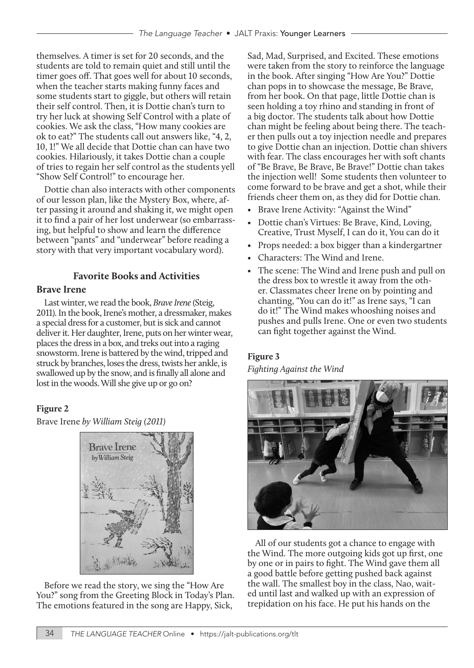themselves. A timer is set for 20 seconds, and the students are told to remain quiet and still until the timer goes off. That goes well for about 10 seconds, when the teacher starts making funny faces and some students start to giggle, but others will retain their self control. Then, it is Dottie chan's turn to try her luck at showing Self Control with a plate of cookies. We ask the class, "How many cookies are ok to eat?" The students call out answers like, "4, 2, 10, 1!" We all decide that Dottie chan can have two cookies. Hilariously, it takes Dottie chan a couple of tries to regain her self control as the students yell "Show Self Control!" to encourage her.

Dottie chan also interacts with other components of our lesson plan, like the Mystery Box, where, after passing it around and shaking it, we might open it to find a pair of her lost underwear (so embarrassing, but helpful to show and learn the difference between "pants" and "underwear" before reading a story with that very important vocabulary word).

#### **Favorite Books and Activities**

#### **Brave Irene**

Last winter, we read the book, *Brave Irene* (Steig, 2011). In the book, Irene's mother, a dressmaker, makes a special dress for a customer, but is sick and cannot deliver it. Her daughter, Irene, puts on her winter wear, places the dress in a box, and treks out into a raging snowstorm. Irene is battered by the wind, tripped and struck by branches, loses the dress, twists her ankle, is swallowed up by the snow, and is finally all alone and lost in the woods. Will she give up or go on?

#### **Figure 2**

Brave Irene *by William Steig (2011)*



Before we read the story, we sing the "How Are You?" song from the Greeting Block in Today's Plan. The emotions featured in the song are Happy, Sick,

Sad, Mad, Surprised, and Excited. These emotions were taken from the story to reinforce the language in the book. After singing "How Are You?" Dottie chan pops in to showcase the message, Be Brave, from her book. On that page, little Dottie chan is seen holding a toy rhino and standing in front of a big doctor. The students talk about how Dottie chan might be feeling about being there. The teacher then pulls out a toy injection needle and prepares to give Dottie chan an injection. Dottie chan shivers with fear. The class encourages her with soft chants of "Be Brave, Be Brave, Be Brave!" Dottie chan takes the injection well! Some students then volunteer to come forward to be brave and get a shot, while their friends cheer them on, as they did for Dottie chan.

- Brave Irene Activity: "Against the Wind"
- Dottie chan's Virtues: Be Brave, Kind, Loving, Creative, Trust Myself, I can do it, You can do it
- Props needed: a box bigger than a kindergartner
- Characters: The Wind and Irene.
- The scene: The Wind and Irene push and pull on the dress box to wrestle it away from the other. Classmates cheer Irene on by pointing and chanting, "You can do it!" as Irene says, "I can do it!" The Wind makes whooshing noises and pushes and pulls Irene. One or even two students can fight together against the Wind.

#### **Figure 3**

#### *Fighting Against the Wind*



All of our students got a chance to engage with the Wind. The more outgoing kids got up first, one by one or in pairs to fight. The Wind gave them all a good battle before getting pushed back against the wall. The smallest boy in the class, Nao, waited until last and walked up with an expression of trepidation on his face. He put his hands on the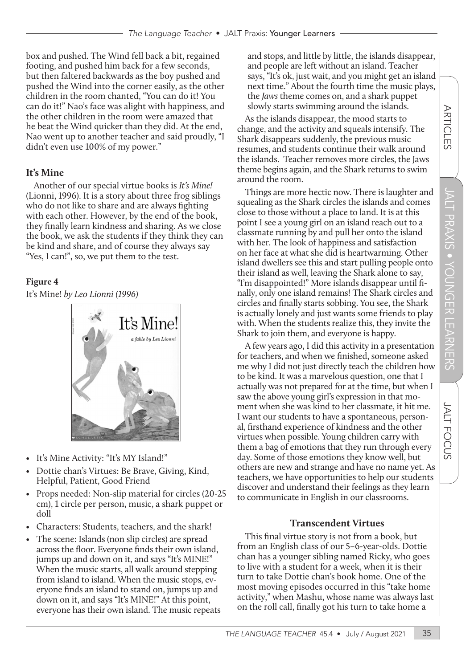JALT PRAXIS

 $\overline{\Omega}$ 

O

 $\overline{\Omega}$ 宍

<u>ति</u>

ō T.

**JALT FOCUS** 

m, ر<br>ن τ

box and pushed. The Wind fell back a bit, regained footing, and pushed him back for a few seconds, but then faltered backwards as the boy pushed and pushed the Wind into the corner easily, as the other children in the room chanted, "You can do it! You can do it!" Nao's face was alight with happiness, and the other children in the room were amazed that he beat the Wind quicker than they did. At the end, Nao went up to another teacher and said proudly, "I didn't even use 100% of my power."

#### **It's Mine**

Another of our special virtue books is *It's Mine!* (Lionni, 1996). It is a story about three frog siblings who do not like to share and are always fighting with each other. However, by the end of the book, they finally learn kindness and sharing. As we close the book, we ask the students if they think they can be kind and share, and of course they always say "Yes, I can!", so, we put them to the test.

#### **Figure 4**

It's Mine! *by Leo Lionni (1996)*



- It's Mine Activity: "It's MY Island!"
- Dottie chan's Virtues: Be Brave, Giving, Kind, Helpful, Patient, Good Friend
- Props needed: Non-slip material for circles (20-25 cm), 1 circle per person, music, a shark puppet or doll
- Characters: Students, teachers, and the shark!
- The scene: Islands (non slip circles) are spread across the floor. Everyone finds their own island, jumps up and down on it, and says "It's MINE!" When the music starts, all walk around stepping from island to island. When the music stops, everyone finds an island to stand on, jumps up and down on it, and says "It's MINE!" At this point, everyone has their own island. The music repeats

and stops, and little by little, the islands disappear, and people are left without an island. Teacher says, "It's ok, just wait, and you might get an island next time." About the fourth time the music plays, the *Jaws* theme comes on, and a shark puppet slowly starts swimming around the islands.

As the islands disappear, the mood starts to change, and the activity and squeals intensify. The Shark disappears suddenly, the previous music resumes, and students continue their walk around the islands. Teacher removes more circles, the Jaws theme begins again, and the Shark returns to swim around the room.

Things are more hectic now. There is laughter and squealing as the Shark circles the islands and comes close to those without a place to land. It is at this point I see a young girl on an island reach out to a classmate running by and pull her onto the island with her. The look of happiness and satisfaction on her face at what she did is heartwarming. Other island dwellers see this and start pulling people onto their island as well, leaving the Shark alone to say, "I'm disappointed!" More islands disappear until finally, only one island remains! The Shark circles and circles and finally starts sobbing. You see, the Shark is actually lonely and just wants some friends to play with. When the students realize this, they invite the Shark to join them, and everyone is happy.

A few years ago, I did this activity in a presentation for teachers, and when we finished, someone asked me why I did not just directly teach the children how to be kind. It was a marvelous question, one that I actually was not prepared for at the time, but when I saw the above young girl's expression in that moment when she was kind to her classmate, it hit me. I want our students to have a spontaneous, personal, firsthand experience of kindness and the other virtues when possible. Young children carry with them a bag of emotions that they run through every day. Some of those emotions they know well, but others are new and strange and have no name yet. As teachers, we have opportunities to help our students discover and understand their feelings as they learn to communicate in English in our classrooms.

#### **Transcendent Virtues**

This final virtue story is not from a book, but from an English class of our 5–6-year-olds. Dottie chan has a younger sibling named Ricky, who goes to live with a student for a week, when it is their turn to take Dottie chan's book home. One of the most moving episodes occurred in this "take home activity," when Mashu, whose name was always last on the roll call, finally got his turn to take home a